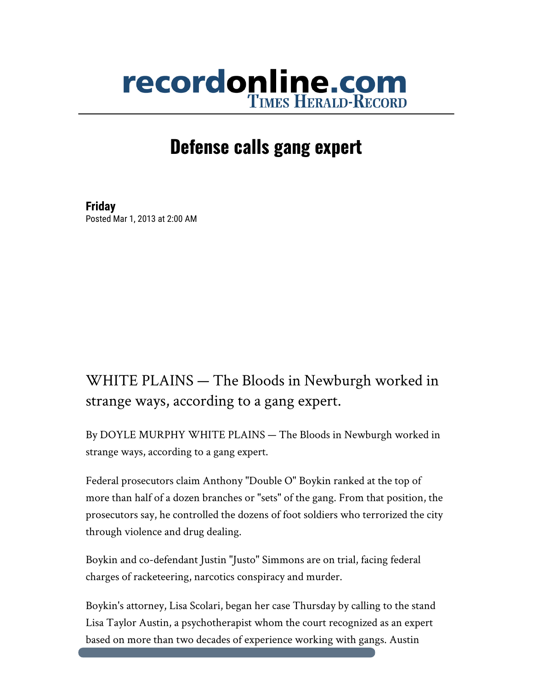## recordonline.com

## **Defense calls gang expert**

**Friday** Posted Mar 1, 2013 at 2:00 AM

## WHITE PLAINS — The Bloods in Newburgh worked in strange ways, according to a gang expert.

By DOYLE MURPHY WHITE PLAINS — The Bloods in Newburgh worked in strange ways, according to a gang expert.

Federal prosecutors claim Anthony "Double O" Boykin ranked at the top of more than half of a dozen branches or "sets" of the gang. From that position, the prosecutors say, he controlled the dozens of foot soldiers who terrorized the city through violence and drug dealing.

Boykin and co-defendant Justin "Justo" Simmons are on trial, facing federal charges of racketeering, narcotics conspiracy and murder.

Boykin's attorney, Lisa Scolari, began her case Thursday by calling to the stand Lisa Taylor Austin, a psychotherapist whom the court recognized as an expert based on more than two decades of experience working with gangs. Austin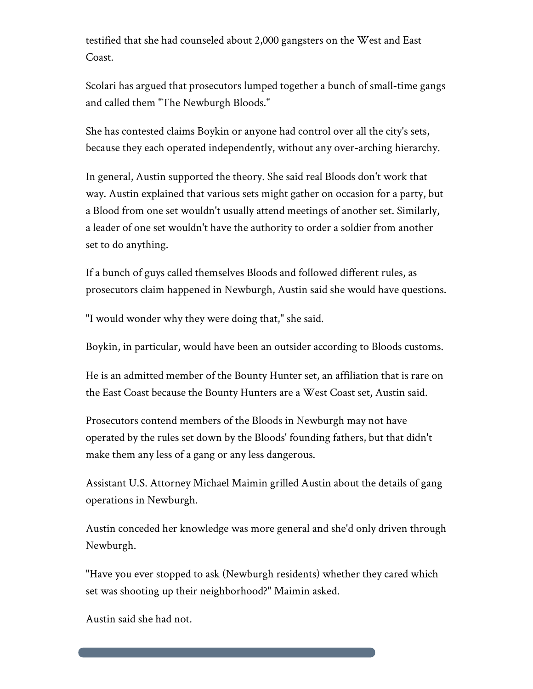testified that she had counseled about 2,000 gangsters on the West and East Coast.

Scolari has argued that prosecutors lumped together a bunch of small-time gangs and called them "The Newburgh Bloods."

She has contested claims Boykin or anyone had control over all the city's sets, because they each operated independently, without any over-arching hierarchy.

In general, Austin supported the theory. She said real Bloods don't work that way. Austin explained that various sets might gather on occasion for a party, but a Blood from one set wouldn't usually attend meetings of another set. Similarly, a leader of one set wouldn't have the authority to order a soldier from another set to do anything.

If a bunch of guys called themselves Bloods and followed different rules, as prosecutors claim happened in Newburgh, Austin said she would have questions.

"I would wonder why they were doing that," she said.

Boykin, in particular, would have been an outsider according to Bloods customs.

He is an admitted member of the Bounty Hunter set, an affiliation that is rare on the East Coast because the Bounty Hunters are a West Coast set, Austin said.

Prosecutors contend members of the Bloods in Newburgh may not have operated by the rules set down by the Bloods' founding fathers, but that didn't make them any less of a gang or any less dangerous.

Assistant U.S. Attorney Michael Maimin grilled Austin about the details of gang operations in Newburgh.

Austin conceded her knowledge was more general and she'd only driven through Newburgh.

"Have you ever stopped to ask (Newburgh residents) whether they cared which set was shooting up their neighborhood?" Maimin asked.

Austin said she had not.